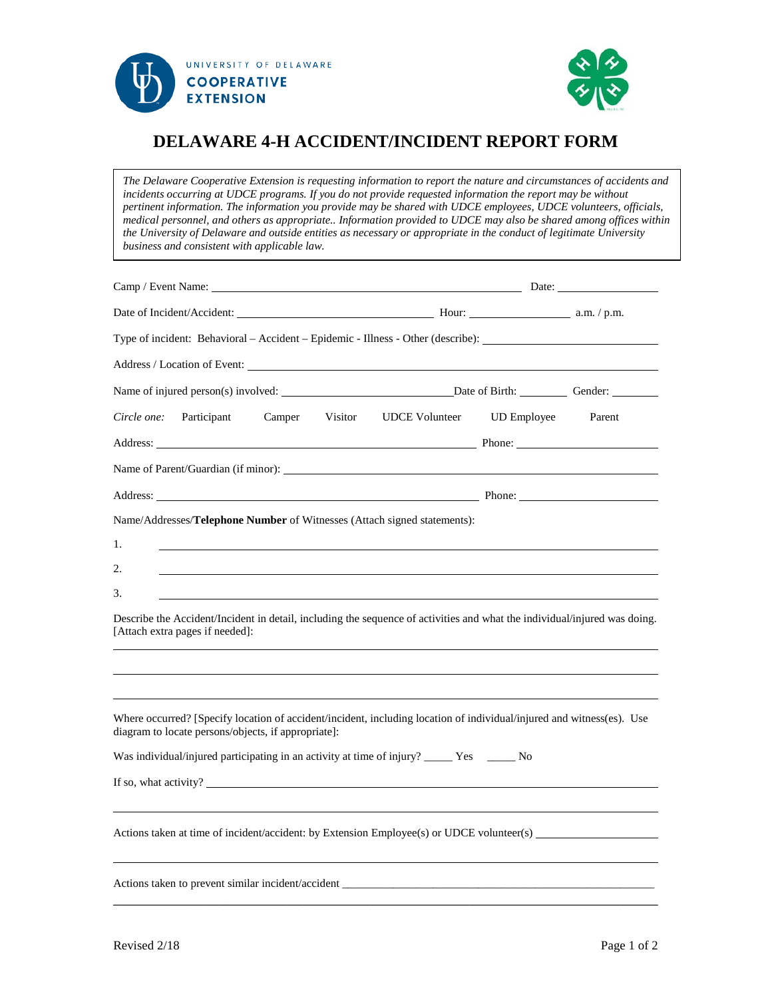



## **DELAWARE 4-H ACCIDENT/INCIDENT REPORT FORM**

*The Delaware Cooperative Extension is requesting information to report the nature and circumstances of accidents and incidents occurring at UDCE programs. If you do not provide requested information the report may be without pertinent information. The information you provide may be shared with UDCE employees, UDCE volunteers, officials, medical personnel, and others as appropriate.. Information provided to UDCE may also be shared among offices within the University of Delaware and outside entities as necessary or appropriate in the conduct of legitimate University business and consistent with applicable law.*

|                                                                                                                                                                                                                                | Date:                      |        |  |
|--------------------------------------------------------------------------------------------------------------------------------------------------------------------------------------------------------------------------------|----------------------------|--------|--|
| Date of Incident/Accident: Manual Manual Manual Manual Manual Manual Manual A.m. / p.m.                                                                                                                                        |                            |        |  |
| Type of incident: Behavioral – Accident – Epidemic - Illness - Other (describe):                                                                                                                                               |                            |        |  |
|                                                                                                                                                                                                                                |                            |        |  |
|                                                                                                                                                                                                                                |                            |        |  |
| Circle one:<br>Participant<br>Camper Visitor                                                                                                                                                                                   | UDCE Volunteer UD Employee | Parent |  |
|                                                                                                                                                                                                                                |                            |        |  |
|                                                                                                                                                                                                                                |                            |        |  |
| Address: Phone: Phone: Phone: Phone: Phone: Phone: Phone: Phone: Phone: Phone: Phone: Phone: Phone: Phone: Phone: Phone: Phone: Phone: Phone: Phone: Phone: Phone: Phone: Phone: Phone: Phone: Phone: Phone: Phone: Phone: Pho |                            |        |  |
| Name/Addresses/Telephone Number of Witnesses (Attach signed statements):                                                                                                                                                       |                            |        |  |
| 1.                                                                                                                                                                                                                             |                            |        |  |
| 2.                                                                                                                                                                                                                             |                            |        |  |
| 3.                                                                                                                                                                                                                             |                            |        |  |
| Describe the Accident/Incident in detail, including the sequence of activities and what the individual/injured was doing.<br>[Attach extra pages if needed]:                                                                   |                            |        |  |
|                                                                                                                                                                                                                                |                            |        |  |
|                                                                                                                                                                                                                                |                            |        |  |
| Where occurred? [Specify location of accident/incident, including location of individual/injured and witness(es). Use<br>diagram to locate persons/objects, if appropriate]:                                                   |                            |        |  |
| Was individual/injured participating in an activity at time of injury? _____ Yes ______ No                                                                                                                                     |                            |        |  |
| If so, what activity?                                                                                                                                                                                                          |                            |        |  |
| Actions taken at time of incident/accident: by Extension Employee(s) or UDCE volunteer(s)                                                                                                                                      |                            |        |  |
|                                                                                                                                                                                                                                |                            |        |  |
|                                                                                                                                                                                                                                |                            |        |  |